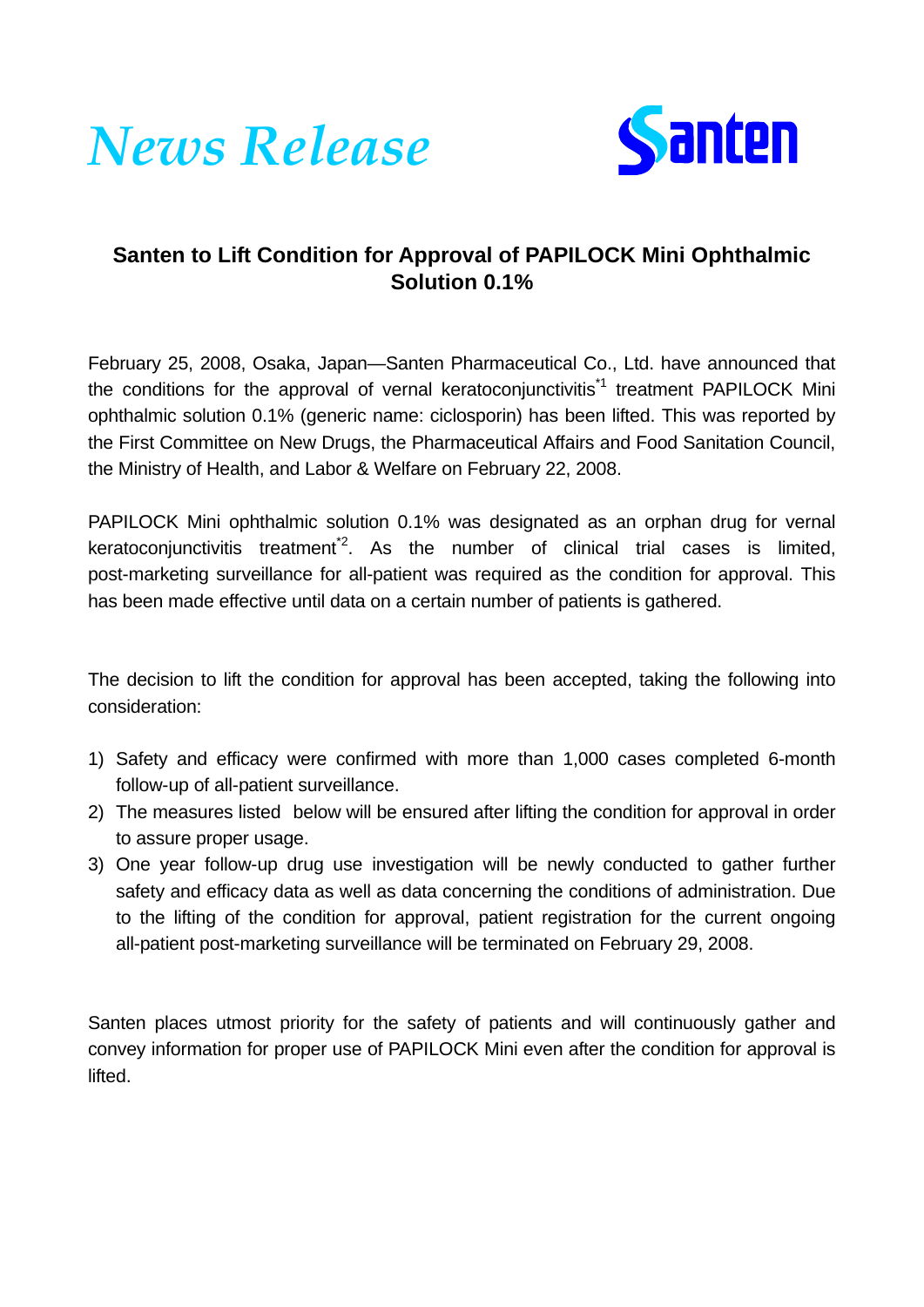



## **Santen to Lift Condition for Approval of PAPILOCK Mini Ophthalmic Solution 0.1%**

February 25, 2008, Osaka, Japan—Santen Pharmaceutical Co., Ltd. have announced that the conditions for the approval of vernal keratoconiunctivitis<sup> $1$ </sup> treatment PAPILOCK Mini ophthalmic solution 0.1% (generic name: ciclosporin) has been lifted. This was reported by the First Committee on New Drugs, the Pharmaceutical Affairs and Food Sanitation Council, the Ministry of Health, and Labor & Welfare on February 22, 2008.

PAPILOCK Mini ophthalmic solution 0.1% was designated as an orphan drug for vernal keratoconjunctivitis treatment<sup>2</sup>. As the number of clinical trial cases is limited, post-marketing surveillance for all-patient was required as the condition for approval. This has been made effective until data on a certain number of patients is gathered.

The decision to lift the condition for approval has been accepted, taking the following into consideration:

- 1) Safety and efficacy were confirmed with more than 1,000 cases completed 6-month follow-up of all-patient surveillance.
- 2) The measures listed below will be ensured after lifting the condition for approval in order to assure proper usage.
- 3) One year follow-up drug use investigation will be newly conducted to gather further safety and efficacy data as well as data concerning the conditions of administration. Due to the lifting of the condition for approval, patient registration for the current ongoing all-patient post-marketing surveillance will be terminated on February 29, 2008.

Santen places utmost priority for the safety of patients and will continuously gather and convey information for proper use of PAPILOCK Mini even after the condition for approval is lifted.